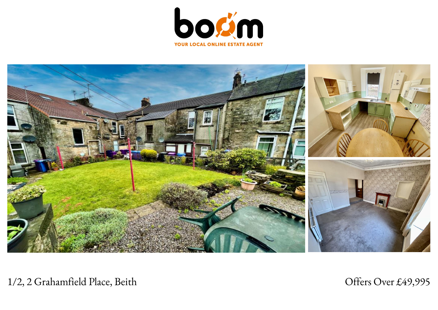



1/2, 2 Grahamfield Place, Beith

Offers Over £49,995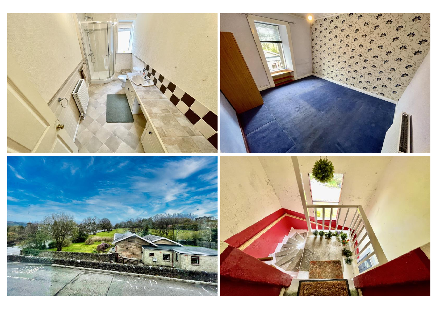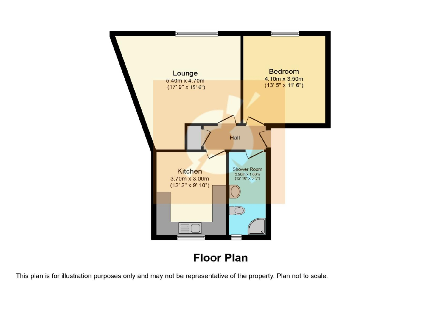

## **Floor Plan**

This plan is for illustration purposes only and may not be representative of the property. Plan not to scale.